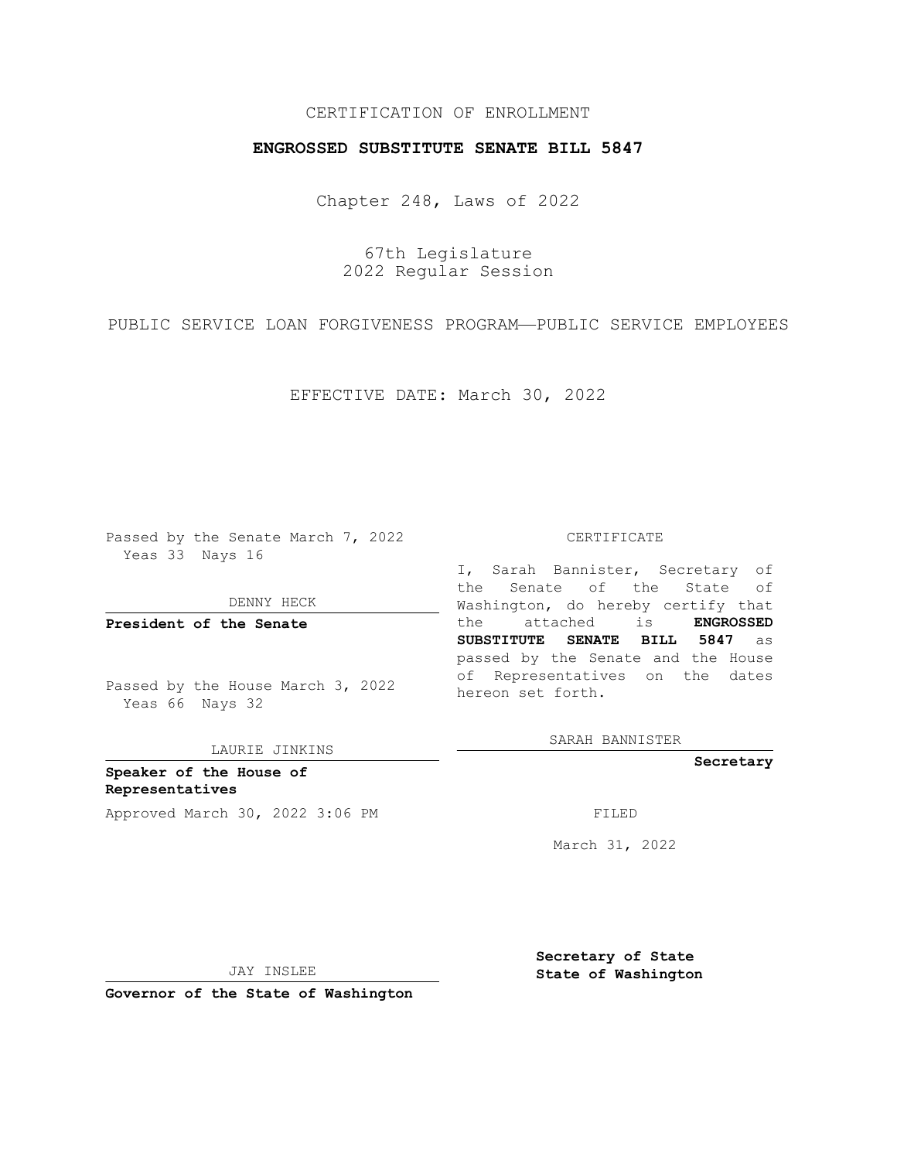## CERTIFICATION OF ENROLLMENT

## **ENGROSSED SUBSTITUTE SENATE BILL 5847**

Chapter 248, Laws of 2022

67th Legislature 2022 Regular Session

PUBLIC SERVICE LOAN FORGIVENESS PROGRAM—PUBLIC SERVICE EMPLOYEES

EFFECTIVE DATE: March 30, 2022

Passed by the Senate March 7, 2022 Yeas 33 Nays 16

DENNY HECK

**President of the Senate**

Passed by the House March 3, 2022 Yeas 66 Nays 32

LAURIE JINKINS

**Speaker of the House of Representatives** Approved March 30, 2022 3:06 PM

#### CERTIFICATE

I, Sarah Bannister, Secretary of the Senate of the State of Washington, do hereby certify that the attached is **ENGROSSED SUBSTITUTE SENATE BILL 5847** as passed by the Senate and the House of Representatives on the dates hereon set forth.

SARAH BANNISTER

**Secretary**

March 31, 2022

JAY INSLEE

**Secretary of State State of Washington**

**Governor of the State of Washington**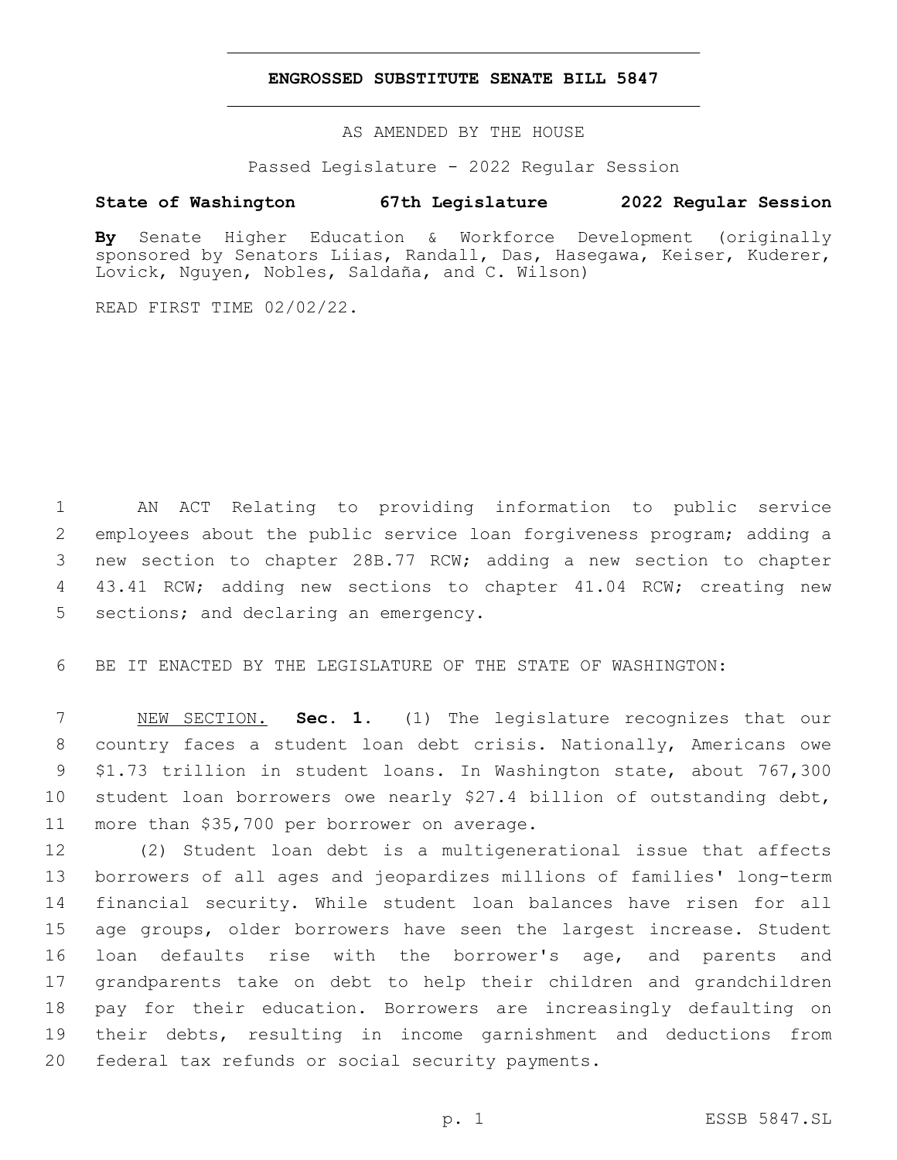### **ENGROSSED SUBSTITUTE SENATE BILL 5847**

AS AMENDED BY THE HOUSE

Passed Legislature - 2022 Regular Session

# **State of Washington 67th Legislature 2022 Regular Session**

**By** Senate Higher Education & Workforce Development (originally sponsored by Senators Liias, Randall, Das, Hasegawa, Keiser, Kuderer, Lovick, Nguyen, Nobles, Saldaña, and C. Wilson)

READ FIRST TIME 02/02/22.

 AN ACT Relating to providing information to public service employees about the public service loan forgiveness program; adding a new section to chapter 28B.77 RCW; adding a new section to chapter 43.41 RCW; adding new sections to chapter 41.04 RCW; creating new 5 sections; and declaring an emergency.

BE IT ENACTED BY THE LEGISLATURE OF THE STATE OF WASHINGTON:

 NEW SECTION. **Sec. 1.** (1) The legislature recognizes that our country faces a student loan debt crisis. Nationally, Americans owe \$1.73 trillion in student loans. In Washington state, about 767,300 student loan borrowers owe nearly \$27.4 billion of outstanding debt, more than \$35,700 per borrower on average.

 (2) Student loan debt is a multigenerational issue that affects borrowers of all ages and jeopardizes millions of families' long-term financial security. While student loan balances have risen for all age groups, older borrowers have seen the largest increase. Student loan defaults rise with the borrower's age, and parents and grandparents take on debt to help their children and grandchildren pay for their education. Borrowers are increasingly defaulting on their debts, resulting in income garnishment and deductions from 20 federal tax refunds or social security payments.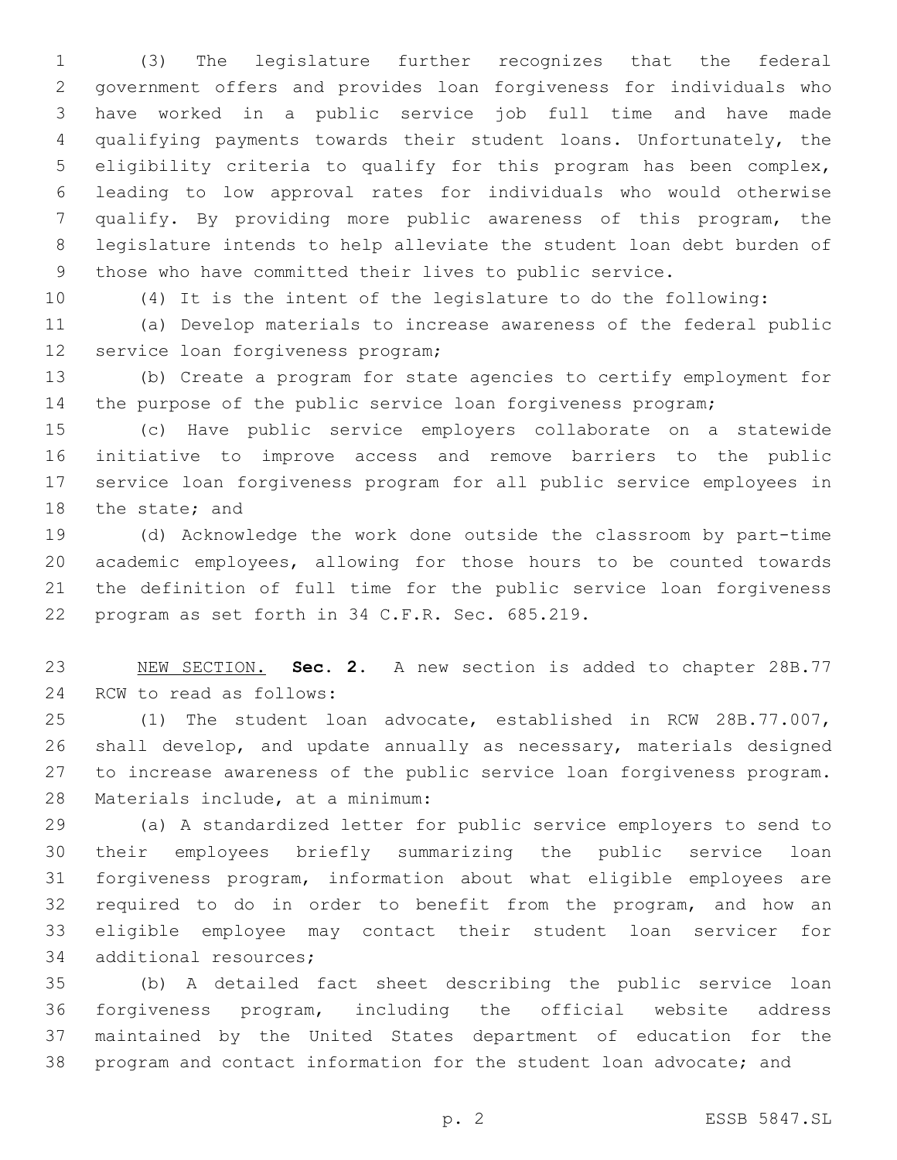(3) The legislature further recognizes that the federal government offers and provides loan forgiveness for individuals who have worked in a public service job full time and have made qualifying payments towards their student loans. Unfortunately, the eligibility criteria to qualify for this program has been complex, leading to low approval rates for individuals who would otherwise qualify. By providing more public awareness of this program, the legislature intends to help alleviate the student loan debt burden of those who have committed their lives to public service.

(4) It is the intent of the legislature to do the following:

 (a) Develop materials to increase awareness of the federal public 12 service loan forgiveness program;

 (b) Create a program for state agencies to certify employment for the purpose of the public service loan forgiveness program;

 (c) Have public service employers collaborate on a statewide initiative to improve access and remove barriers to the public service loan forgiveness program for all public service employees in 18 the state; and

 (d) Acknowledge the work done outside the classroom by part-time academic employees, allowing for those hours to be counted towards the definition of full time for the public service loan forgiveness 22 program as set forth in 34 C.F.R. Sec. 685.219.

 NEW SECTION. **Sec. 2.** A new section is added to chapter 28B.77 24 RCW to read as follows:

 (1) The student loan advocate, established in RCW 28B.77.007, shall develop, and update annually as necessary, materials designed to increase awareness of the public service loan forgiveness program. 28 Materials include, at a minimum:

 (a) A standardized letter for public service employers to send to their employees briefly summarizing the public service loan forgiveness program, information about what eligible employees are required to do in order to benefit from the program, and how an eligible employee may contact their student loan servicer for 34 additional resources;

 (b) A detailed fact sheet describing the public service loan forgiveness program, including the official website address maintained by the United States department of education for the program and contact information for the student loan advocate; and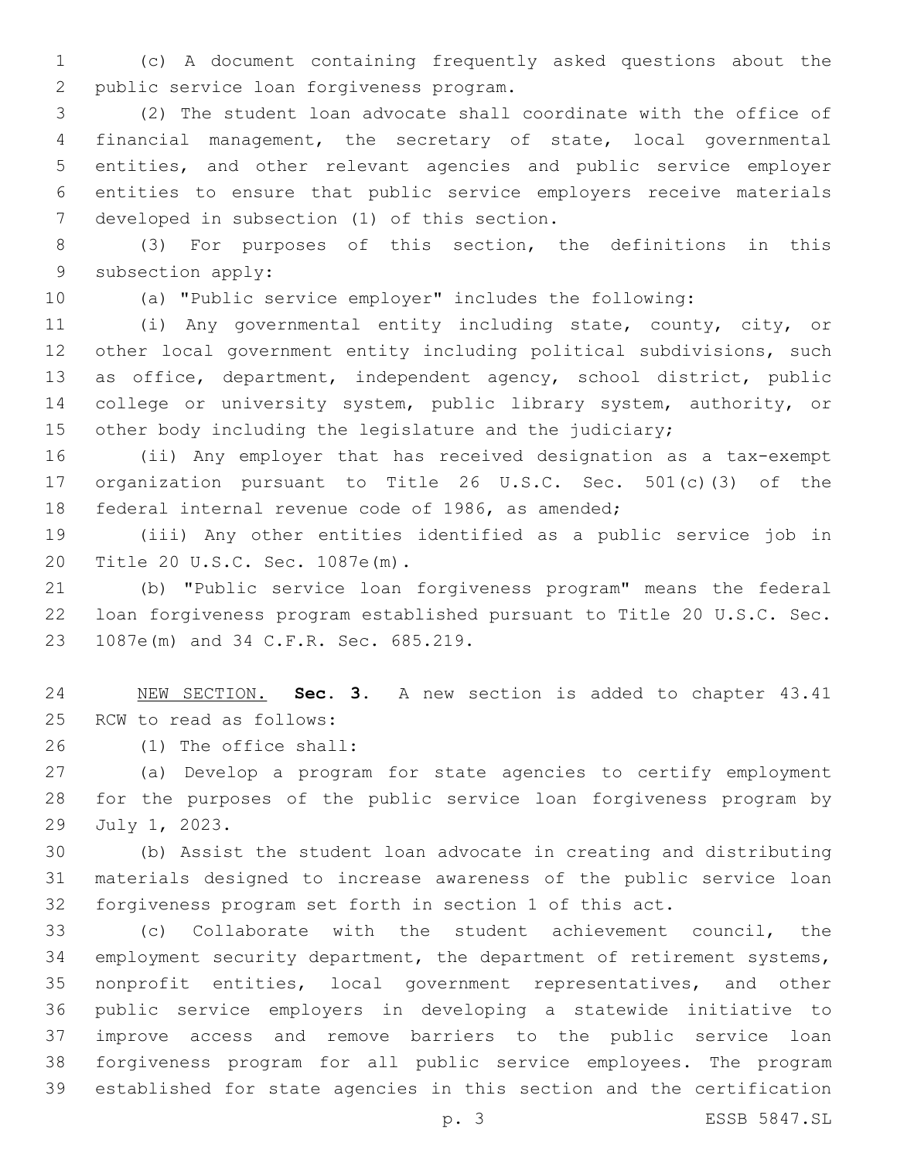(c) A document containing frequently asked questions about the 2 public service loan forgiveness program.

 (2) The student loan advocate shall coordinate with the office of financial management, the secretary of state, local governmental entities, and other relevant agencies and public service employer entities to ensure that public service employers receive materials 7 developed in subsection (1) of this section.

 (3) For purposes of this section, the definitions in this 9 subsection apply:

(a) "Public service employer" includes the following:

 (i) Any governmental entity including state, county, city, or other local government entity including political subdivisions, such as office, department, independent agency, school district, public 14 college or university system, public library system, authority, or 15 other body including the legislature and the judiciary;

 (ii) Any employer that has received designation as a tax-exempt organization pursuant to Title 26 U.S.C. Sec. 501(c)(3) of the federal internal revenue code of 1986, as amended;

 (iii) Any other entities identified as a public service job in 20 Title 20 U.S.C. Sec. 1087e(m).

 (b) "Public service loan forgiveness program" means the federal loan forgiveness program established pursuant to Title 20 U.S.C. Sec. 23 1087e(m) and 34 C.F.R. Sec. 685.219.

 NEW SECTION. **Sec. 3.** A new section is added to chapter 43.41 25 RCW to read as follows:

(1) The office shall:26

 (a) Develop a program for state agencies to certify employment for the purposes of the public service loan forgiveness program by 29 July 1, 2023.

 (b) Assist the student loan advocate in creating and distributing materials designed to increase awareness of the public service loan forgiveness program set forth in section 1 of this act.

 (c) Collaborate with the student achievement council, the employment security department, the department of retirement systems, nonprofit entities, local government representatives, and other public service employers in developing a statewide initiative to improve access and remove barriers to the public service loan forgiveness program for all public service employees. The program established for state agencies in this section and the certification

p. 3 ESSB 5847.SL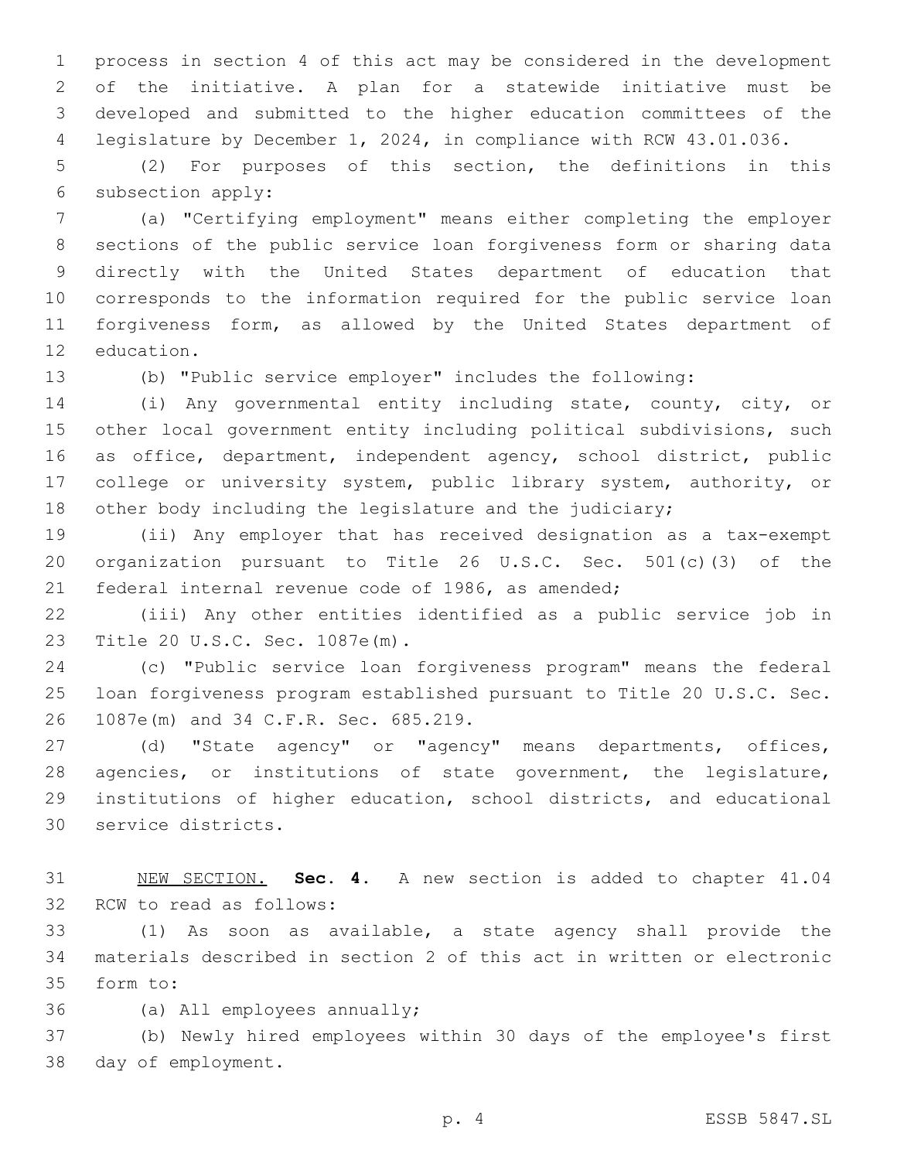process in section 4 of this act may be considered in the development of the initiative. A plan for a statewide initiative must be developed and submitted to the higher education committees of the legislature by December 1, 2024, in compliance with RCW 43.01.036.

 (2) For purposes of this section, the definitions in this 6 subsection apply:

 (a) "Certifying employment" means either completing the employer sections of the public service loan forgiveness form or sharing data directly with the United States department of education that corresponds to the information required for the public service loan forgiveness form, as allowed by the United States department of 12 education.

(b) "Public service employer" includes the following:

 (i) Any governmental entity including state, county, city, or other local government entity including political subdivisions, such as office, department, independent agency, school district, public college or university system, public library system, authority, or other body including the legislature and the judiciary;

 (ii) Any employer that has received designation as a tax-exempt organization pursuant to Title 26 U.S.C. Sec. 501(c)(3) of the federal internal revenue code of 1986, as amended;

 (iii) Any other entities identified as a public service job in 23 Title 20 U.S.C. Sec. 1087e(m).

 (c) "Public service loan forgiveness program" means the federal loan forgiveness program established pursuant to Title 20 U.S.C. Sec. 26 1087e(m) and 34 C.F.R. Sec. 685.219.

 (d) "State agency" or "agency" means departments, offices, agencies, or institutions of state government, the legislature, institutions of higher education, school districts, and educational 30 service districts.

 NEW SECTION. **Sec. 4.** A new section is added to chapter 41.04 32 RCW to read as follows:

 (1) As soon as available, a state agency shall provide the materials described in section 2 of this act in written or electronic 35 form to:

36 (a) All employees annually;

 (b) Newly hired employees within 30 days of the employee's first 38 day of employment.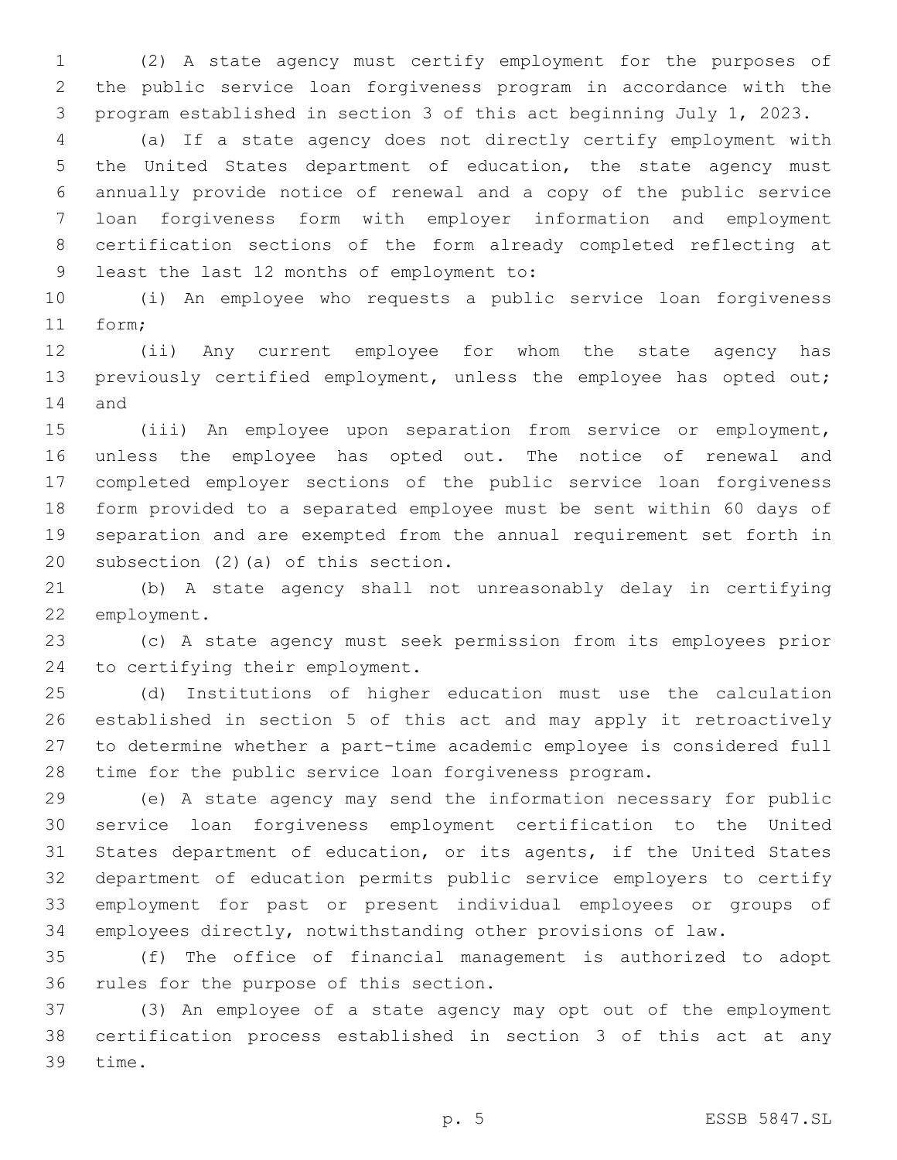(2) A state agency must certify employment for the purposes of the public service loan forgiveness program in accordance with the program established in section 3 of this act beginning July 1, 2023.

 (a) If a state agency does not directly certify employment with the United States department of education, the state agency must annually provide notice of renewal and a copy of the public service loan forgiveness form with employer information and employment certification sections of the form already completed reflecting at 9 least the last 12 months of employment to:

 (i) An employee who requests a public service loan forgiveness 11 form;

 (ii) Any current employee for whom the state agency has previously certified employment, unless the employee has opted out; 14 and

 (iii) An employee upon separation from service or employment, unless the employee has opted out. The notice of renewal and completed employer sections of the public service loan forgiveness form provided to a separated employee must be sent within 60 days of separation and are exempted from the annual requirement set forth in 20 subsection  $(2)$  (a) of this section.

 (b) A state agency shall not unreasonably delay in certifying 22 employment.

 (c) A state agency must seek permission from its employees prior 24 to certifying their employment.

 (d) Institutions of higher education must use the calculation established in section 5 of this act and may apply it retroactively to determine whether a part-time academic employee is considered full time for the public service loan forgiveness program.

 (e) A state agency may send the information necessary for public service loan forgiveness employment certification to the United States department of education, or its agents, if the United States department of education permits public service employers to certify employment for past or present individual employees or groups of employees directly, notwithstanding other provisions of law.

 (f) The office of financial management is authorized to adopt 36 rules for the purpose of this section.

 (3) An employee of a state agency may opt out of the employment certification process established in section 3 of this act at any 39 time.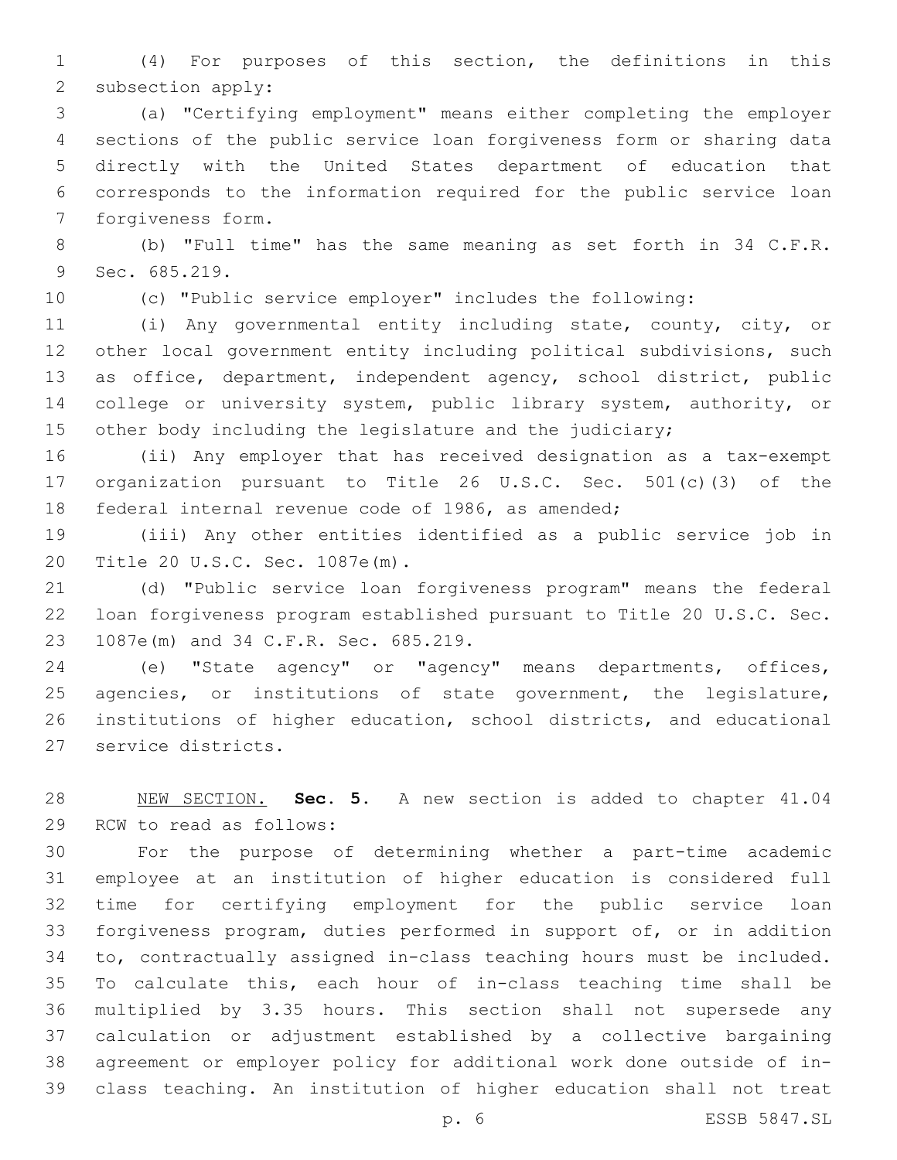(4) For purposes of this section, the definitions in this 2 subsection apply:

 (a) "Certifying employment" means either completing the employer sections of the public service loan forgiveness form or sharing data directly with the United States department of education that corresponds to the information required for the public service loan 7 forgiveness form.

 (b) "Full time" has the same meaning as set forth in 34 C.F.R. 9 Sec. 685.219.

(c) "Public service employer" includes the following:

 (i) Any governmental entity including state, county, city, or other local government entity including political subdivisions, such as office, department, independent agency, school district, public 14 college or university system, public library system, authority, or other body including the legislature and the judiciary;

 (ii) Any employer that has received designation as a tax-exempt organization pursuant to Title 26 U.S.C. Sec. 501(c)(3) of the federal internal revenue code of 1986, as amended;

 (iii) Any other entities identified as a public service job in 20 Title 20 U.S.C. Sec. 1087e(m).

 (d) "Public service loan forgiveness program" means the federal loan forgiveness program established pursuant to Title 20 U.S.C. Sec. 23 1087e(m) and 34 C.F.R. Sec. 685.219.

 (e) "State agency" or "agency" means departments, offices, agencies, or institutions of state government, the legislature, institutions of higher education, school districts, and educational 27 service districts.

 NEW SECTION. **Sec. 5.** A new section is added to chapter 41.04 29 RCW to read as follows:

 For the purpose of determining whether a part-time academic employee at an institution of higher education is considered full time for certifying employment for the public service loan forgiveness program, duties performed in support of, or in addition to, contractually assigned in-class teaching hours must be included. To calculate this, each hour of in-class teaching time shall be multiplied by 3.35 hours. This section shall not supersede any calculation or adjustment established by a collective bargaining agreement or employer policy for additional work done outside of in-class teaching. An institution of higher education shall not treat